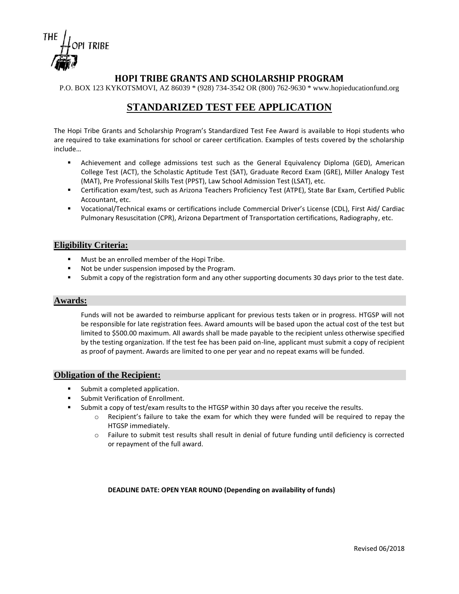

## **HOPI TRIBE GRANTS AND SCHOLARSHIP PROGRAM**

P.O. BOX 123 KYKOTSMOVI, AZ 86039 \* (928) 734-3542 OR (800) 762-9630 \* www.hopieducationfund.org

# **STANDARIZED TEST FEE APPLICATION**

The Hopi Tribe Grants and Scholarship Program's Standardized Test Fee Award is available to Hopi students who are required to take examinations for school or career certification. Examples of tests covered by the scholarship include…

- Achievement and college admissions test such as the General Equivalency Diploma (GED), American College Test (ACT), the Scholastic Aptitude Test (SAT), Graduate Record Exam (GRE), Miller Analogy Test (MAT), Pre Professional Skills Test (PPST), Law School Admission Test (LSAT), etc.
- Certification exam/test, such as Arizona Teachers Proficiency Test (ATPE), State Bar Exam, Certified Public Accountant, etc.
- Vocational/Technical exams or certifications include Commercial Driver's License (CDL), First Aid/ Cardiac Pulmonary Resuscitation (CPR), Arizona Department of Transportation certifications, Radiography, etc.

### **Eligibility Criteria:**

- Must be an enrolled member of the Hopi Tribe.
- Not be under suspension imposed by the Program.
- Submit a copy of the registration form and any other supporting documents 30 days prior to the test date.

#### **Awards:**

Funds will not be awarded to reimburse applicant for previous tests taken or in progress. HTGSP will not be responsible for late registration fees. Award amounts will be based upon the actual cost of the test but limited to \$500.00 maximum. All awards shall be made payable to the recipient unless otherwise specified by the testing organization. If the test fee has been paid on-line, applicant must submit a copy of recipient as proof of payment. Awards are limited to one per year and no repeat exams will be funded.

### **Obligation of the Recipient:**

- Submit a completed application.
- Submit Verification of Enrollment.
- Submit a copy of test/exam results to the HTGSP within 30 days after you receive the results.
	- o Recipient's failure to take the exam for which they were funded will be required to repay the HTGSP immediately.
	- o Failure to submit test results shall result in denial of future funding until deficiency is corrected or repayment of the full award.

#### **DEADLINE DATE: OPEN YEAR ROUND (Depending on availability of funds)**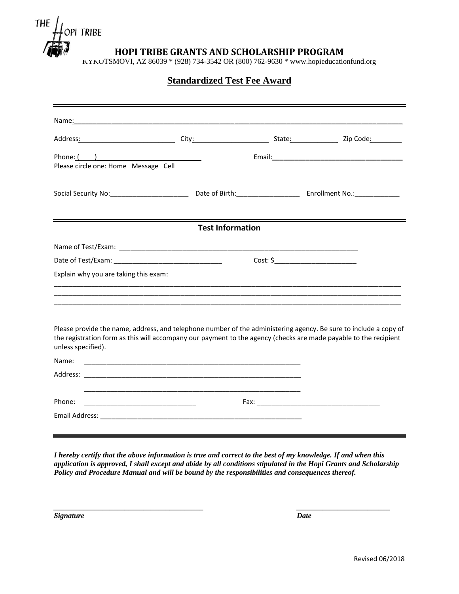

**HOPI TRIBE GRANTS AND SCHOLARSHIP PROGRAM**

KYKOTSMOVI, AZ 86039 \* (928) 734-3542 OR (800) 762-9630 \* www.hopieducationfund.org

## **Standardized Test Fee Award**

|                                                    | Name: Name: And All Contract Contract Contract Contract Contract Contract Contract Contract Contract Contract Contract Contract Contract Contract Contract Contract Contract Contract Contract Contract Contract Contract Cont       |          |  |
|----------------------------------------------------|--------------------------------------------------------------------------------------------------------------------------------------------------------------------------------------------------------------------------------------|----------|--|
|                                                    | Address: Zip Code: City: City: City: City: State: Zip Code: Zip Code:                                                                                                                                                                |          |  |
| Phone: ( )<br>Please circle one: Home Message Cell |                                                                                                                                                                                                                                      |          |  |
|                                                    | Social Security No: Note 1 2012 Contract Department No. 2014 Contract Department No. 2014 Contract Department No                                                                                                                     |          |  |
|                                                    | <b>Test Information</b>                                                                                                                                                                                                              |          |  |
|                                                    |                                                                                                                                                                                                                                      |          |  |
|                                                    |                                                                                                                                                                                                                                      | Cost: \$ |  |
| Explain why you are taking this exam:              |                                                                                                                                                                                                                                      |          |  |
| unless specified).                                 | Please provide the name, address, and telephone number of the administering agency. Be sure to include a copy of<br>the registration form as this will accompany our payment to the agency (checks are made payable to the recipient |          |  |
| Name:                                              | <u> 1980 - Johann John Stoff, deutscher Stoffen und der Stoffen und der Stoffen und der Stoffen und der Stoffen un</u>                                                                                                               |          |  |
|                                                    |                                                                                                                                                                                                                                      |          |  |
| Phone:                                             | <u> 1989 - Jan James James, martin amerikan basar dan bagi dan bagi dan bagi dari dalam bagi dan bagi dan bagi da</u>                                                                                                                |          |  |
|                                                    |                                                                                                                                                                                                                                      |          |  |

*I hereby certify that the above information is true and correct to the best of my knowledge. If and when this application is approved, I shall except and abide by all conditions stipulated in the Hopi Grants and Scholarship Policy and Procedure Manual and will be bound by the responsibilities and consequences thereof.* 

*\_\_\_\_\_\_\_\_\_\_\_\_\_\_\_\_\_\_\_\_\_\_\_\_\_\_\_\_\_\_\_\_\_\_\_\_\_\_\_\_ \_\_\_\_\_\_\_\_\_\_\_\_\_\_\_\_\_\_\_\_\_\_\_\_\_*

*Signature Date*